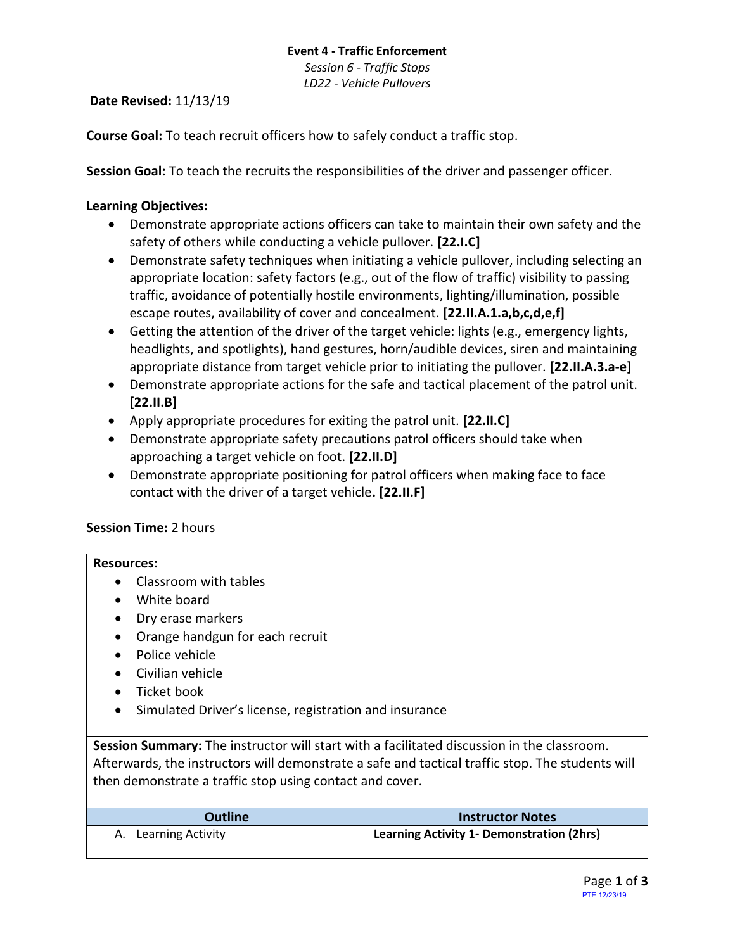## **Event 4 - Traffic Enforcement**

*Session 6 - Traffic Stops LD22 - Vehicle Pullovers*

**Date Revised:** 11/13/19

**Course Goal:** To teach recruit officers how to safely conduct a traffic stop.

**Session Goal:** To teach the recruits the responsibilities of the driver and passenger officer.

# **Learning Objectives:**

- Demonstrate appropriate actions officers can take to maintain their own safety and the safety of others while conducting a vehicle pullover. **[22.I.C]**
- Demonstrate safety techniques when initiating a vehicle pullover, including selecting an appropriate location: safety factors (e.g., out of the flow of traffic) visibility to passing traffic, avoidance of potentially hostile environments, lighting/illumination, possible escape routes, availability of cover and concealment. **[22.II.A.1.a,b,c,d,e,f]**
- Getting the attention of the driver of the target vehicle: lights (e.g., emergency lights, headlights, and spotlights), hand gestures, horn/audible devices, siren and maintaining appropriate distance from target vehicle prior to initiating the pullover. **[22.II.A.3.a-e]**
- Demonstrate appropriate actions for the safe and tactical placement of the patrol unit. **[22.II.B]**
- Apply appropriate procedures for exiting the patrol unit. **[22.II.C]**
- Demonstrate appropriate safety precautions patrol officers should take when approaching a target vehicle on foot. **[22.II.D]**
- Demonstrate appropriate positioning for patrol officers when making face to face contact with the driver of a target vehicle**. [22.II.F]**

## **Session Time:** 2 hours

## **Resources:**

- Classroom with tables
- White board
- Dry erase markers
- Orange handgun for each recruit
- Police vehicle
- Civilian vehicle
- Ticket book
- Simulated Driver's license, registration and insurance

**Session Summary:** The instructor will start with a facilitated discussion in the classroom. Afterwards, the instructors will demonstrate a safe and tactical traffic stop. The students will then demonstrate a traffic stop using contact and cover.

| <b>Outline</b>       | <b>Instructor Notes</b>                                |
|----------------------|--------------------------------------------------------|
| A. Learning Activity | <sup>1</sup> Learning Activity 1- Demonstration (2hrs) |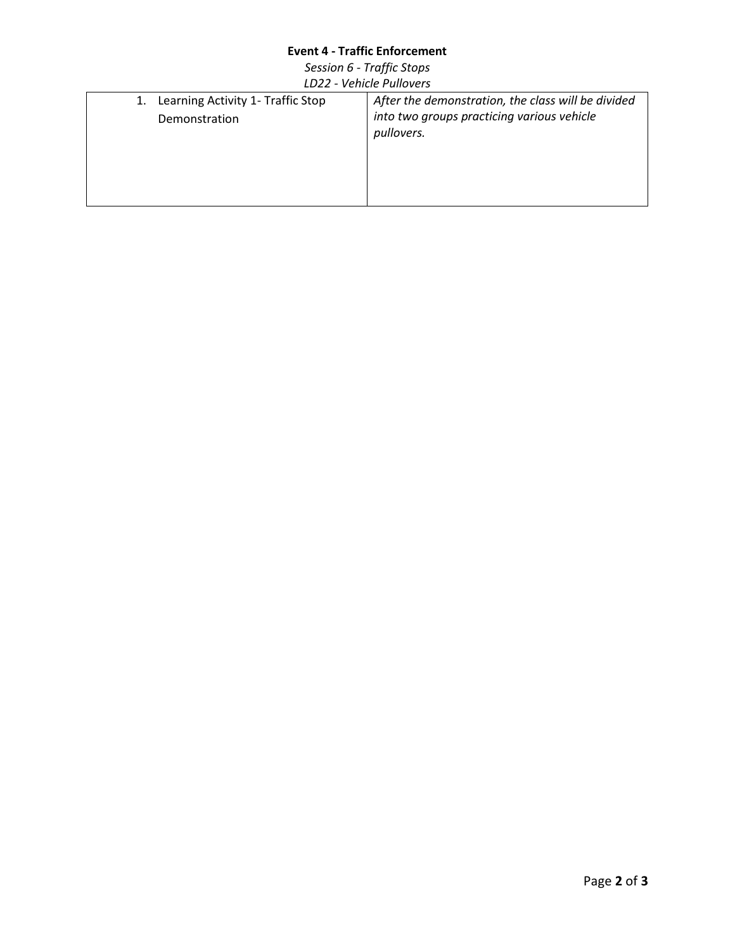## **Event 4 - Traffic Enforcement**

*Session 6 - Traffic Stops LD22 - Vehicle Pullovers*

| 1. Learning Activity 1- Traffic Stop<br>Demonstration | After the demonstration, the class will be divided<br>into two groups practicing various vehicle<br>pullovers. |
|-------------------------------------------------------|----------------------------------------------------------------------------------------------------------------|
|                                                       |                                                                                                                |